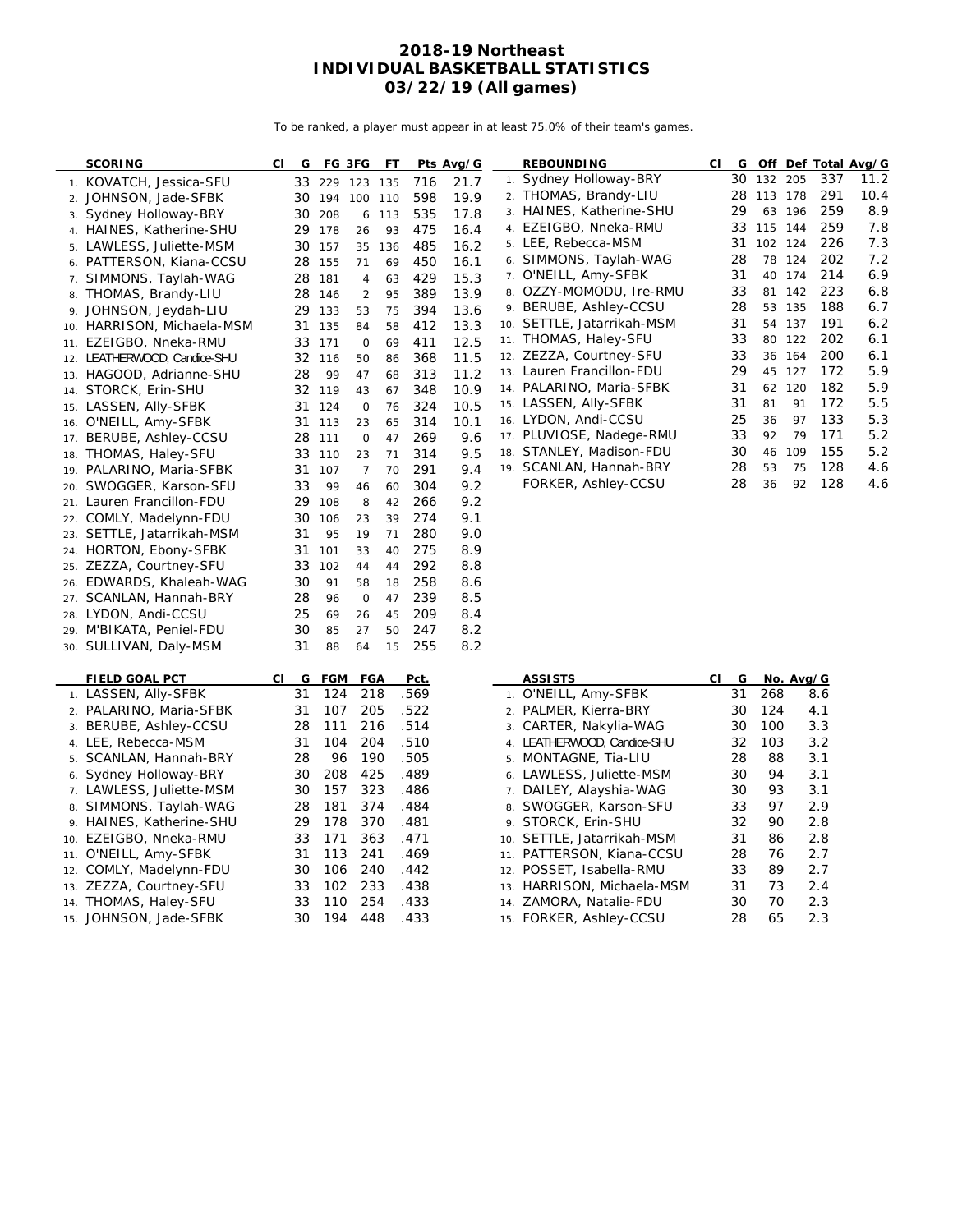To be ranked, a player must appear in at least 75.0% of their team's games.

|     | <b>SCORING</b>           | CI | G  | FG 3FG         |                | FT  |      | Pts Avg/G |     | <b>REBOUNDING</b>           | СI | G  |         |           |     | Off Def Total Avg/G |
|-----|--------------------------|----|----|----------------|----------------|-----|------|-----------|-----|-----------------------------|----|----|---------|-----------|-----|---------------------|
|     | 1. KOVATCH, Jessica-SFU  |    | 33 | 229 123        |                | 135 | 716  | 21.7      |     | 1. Sydney Holloway-BRY      |    | 30 | 132 205 |           | 337 | 11.2                |
|     | 2. JOHNSON, Jade-SFBK    |    |    | 30 194 100 110 |                |     | 598  | 19.9      |     | 2. THOMAS, Brandy-LIU       |    | 28 | 113 178 |           | 291 | 10.4                |
| 3.  | Sydney Holloway-BRY      |    |    | 30 208         | 6              | 113 | 535  | 17.8      |     | 3. HAINES, Katherine-SHU    |    | 29 | 63      | 196       | 259 | 8.9                 |
|     | 4. HAINES, Katherine-SHU |    | 29 | 178            | 26             | 93  | 475  | 16.4      |     | 4. EZEIGBO, Nneka-RMU       |    | 33 | 115 144 |           | 259 | 7.8                 |
|     | 5. LAWLESS, Juliette-MSM |    | 30 | 157            | 35             | 136 | 485  | 16.2      |     | 5. LEE, Rebecca-MSM         |    | 31 | 102 124 |           | 226 | 7.3                 |
| 6.  | PATTERSON, Kiana-CCSU    |    | 28 | 155            | 71             | 69  | 450  | 16.1      |     | 6. SIMMONS, Taylah-WAG      |    | 28 |         | 78 124    | 202 | 7.2                 |
| 7.  | SIMMONS, Taylah-WAG      |    | 28 | 181            | 4              | 63  | 429  | 15.3      |     | 7. O'NEILL, Amy-SFBK        |    | 31 | 40      | 174       | 214 | 6.9                 |
| 8.  | THOMAS, Brandy-LIU       |    | 28 | 146            | $\overline{2}$ | 95  | 389  | 13.9      |     | 8. OZZY-MOMODU, Ire-RMU     |    | 33 |         | 81 142    | 223 | 6.8                 |
| 9.  | JOHNSON, Jeydah-LIU      |    | 29 | 133            | 53             | 75  | 394  | 13.6      |     | 9. BERUBE, Ashley-CCSU      |    | 28 |         | 53 135    | 188 | 6.7                 |
| 10. | HARRISON, Michaela-MSM   |    | 31 | 135            | 84             | 58  | 412  | 13.3      |     | 10. SETTLE, Jatarrikah-MSM  |    | 31 | 54      | 137       | 191 | 6.2                 |
| 11. | EZEIGBO, Nneka-RMU       |    | 33 | 171            | $\mathsf{O}$   | 69  | 411  | 12.5      |     | 11. THOMAS, Haley-SFU       |    | 33 |         | 80 122    | 202 | 6.1                 |
| 12. | LEATHERWOOD, Candice-SHU |    | 32 | 116            | 50             | 86  | 368  | 11.5      |     | 12. ZEZZA, Courtney-SFU     |    | 33 |         | 36 164    | 200 | 6.1                 |
| 13. | HAGOOD, Adrianne-SHU     |    | 28 | 99             | 47             | 68  | 313  | 11.2      |     | 13. Lauren Francillon-FDU   |    | 29 |         | 45 127    | 172 | 5.9                 |
| 14. | STORCK, Erin-SHU         |    |    | 32 119         | 43             | 67  | 348  | 10.9      |     | 14. PALARINO, Maria-SFBK    |    | 31 |         | 62 120    | 182 | 5.9                 |
| 15. | LASSEN, Ally-SFBK        |    | 31 | 124            | 0              | 76  | 324  | 10.5      |     | 15. LASSEN, Ally-SFBK       |    | 31 | 81      | 91        | 172 | 5.5                 |
| 16. | O'NEILL, Amy-SFBK        |    | 31 | 113            | 23             | 65  | 314  | 10.1      |     | 16. LYDON, Andi-CCSU        |    | 25 | 36      | 97        | 133 | 5.3                 |
| 17. | BERUBE, Ashley-CCSU      |    | 28 | 111            | $\mathsf{O}$   | 47  | 269  | 9.6       |     | 17. PLUVIOSE, Nadege-RMU    |    | 33 | 92      | 79        | 171 | 5.2                 |
| 18. | THOMAS, Haley-SFU        |    | 33 | 110            | 23             | 71  | 314  | 9.5       |     | 18. STANLEY, Madison-FDU    |    | 30 | 46      | 109       | 155 | 5.2                 |
| 19. | PALARINO, Maria-SFBK     |    | 31 | 107            | $\overline{7}$ | 70  | 291  | 9.4       |     | 19. SCANLAN, Hannah-BRY     |    | 28 | 53      | 75        | 128 | 4.6                 |
| 20. | SWOGGER, Karson-SFU      |    | 33 | 99             | 46             | 60  | 304  | 9.2       |     | FORKER, Ashley-CCSU         |    | 28 | 36      | 92        | 128 | 4.6                 |
| 21. | Lauren Francillon-FDU    |    | 29 | 108            | 8              | 42  | 266  | 9.2       |     |                             |    |    |         |           |     |                     |
| 22. | COMLY, Madelynn-FDU      |    | 30 | 106            | 23             | 39  | 274  | 9.1       |     |                             |    |    |         |           |     |                     |
| 23. | SETTLE, Jatarrikah-MSM   |    | 31 | 95             | 19             | 71  | 280  | 9.0       |     |                             |    |    |         |           |     |                     |
|     | 24. HORTON, Ebony-SFBK   |    | 31 | 101            | 33             | 40  | 275  | 8.9       |     |                             |    |    |         |           |     |                     |
| 25. | ZEZZA, Courtney-SFU      |    | 33 | 102            | 44             | 44  | 292  | 8.8       |     |                             |    |    |         |           |     |                     |
| 26. | EDWARDS, Khaleah-WAG     |    | 30 | 91             | 58             | 18  | 258  | 8.6       |     |                             |    |    |         |           |     |                     |
| 27. | SCANLAN, Hannah-BRY      |    | 28 | 96             | $\mathsf{O}$   | 47  | 239  | 8.5       |     |                             |    |    |         |           |     |                     |
| 28. | LYDON, Andi-CCSU         |    | 25 | 69             | 26             | 45  | 209  | 8.4       |     |                             |    |    |         |           |     |                     |
| 29. | M'BIKATA, Peniel-FDU     |    | 30 | 85             | 27             | 50  | 247  | 8.2       |     |                             |    |    |         |           |     |                     |
|     | 30. SULLIVAN, Daly-MSM   |    | 31 | 88             | 64             | 15  | 255  | 8.2       |     |                             |    |    |         |           |     |                     |
|     | <b>FIELD GOAL PCT</b>    | СI | G  | FGM            | <b>FGA</b>     |     | Pct. |           |     | <b>ASSISTS</b>              | СI | G  |         | No. Avg/G |     |                     |
| 1.  | LASSEN, Ally-SFBK        |    | 31 | 124            | 218            |     | .569 |           |     | 1. O'NEILL, Amy-SFBK        |    | 31 | 268     |           | 8.6 |                     |
|     | 2. PALARINO, Maria-SFBK  |    | 31 | 107            | 205            |     | .522 |           |     | 2. PALMER, Kierra-BRY       |    | 30 | 124     |           | 4.1 |                     |
| 3.  | BERUBE, Ashley-CCSU      |    | 28 | 111            | 216            |     | .514 |           | 3.  | CARTER, Nakylia-WAG         |    | 30 | 100     |           | 3.3 |                     |
|     | 4. LEE, Rebecca-MSM      |    | 31 | 104            | 204            |     | .510 |           |     | 4. LEATHERWOOD, Candice-SHU |    | 32 | 103     |           | 3.2 |                     |
| 5.  | SCANLAN, Hannah-BRY      |    | 28 | 96             | 190            |     | .505 |           |     | 5. MONTAGNE, Tia-LIU        |    | 28 | 88      |           | 3.1 |                     |
| 6.  | Sydney Holloway-BRY      |    | 30 | 208            | 425            |     | .489 |           |     | 6. LAWLESS, Juliette-MSM    |    | 30 | 94      |           | 3.1 |                     |
|     | 7. LAWLESS, Juliette-MSM |    | 30 | 157            | 323            |     | .486 |           |     | 7. DAILEY, Alayshia-WAG     |    | 30 | 93      |           | 3.1 |                     |
| 8.  | SIMMONS, Taylah-WAG      |    | 28 | 181            | 374            |     | .484 |           | 8.  | SWOGGER, Karson-SFU         |    | 33 | 97      |           | 2.9 |                     |
|     | 9. HAINES, Katherine-SHU |    | 29 | 178            | 370            |     | .481 |           |     | 9. STORCK, Erin-SHU         |    | 32 | 90      |           | 2.8 |                     |
| 10. | EZEIGBO, Nneka-RMU       |    | 33 | 171            | 363            |     | .471 |           | 10. | SETTLE, Jatarrikah-MSM      |    | 31 | 86      |           | 2.8 |                     |
| 11. | O'NEILL, Amy-SFBK        |    | 31 | 113            | 241            |     | .469 |           | 11. | PATTERSON, Kiana-CCSU       |    | 28 | 76      |           | 2.7 |                     |
| 12. | COMLY, Madelynn-FDU      |    | 30 | 106            | 240            |     | .442 |           | 12. | POSSET, Isabella-RMU        |    | 33 | 89      |           | 2.7 |                     |
|     | 13. ZEZZA, Courtney-SFU  |    | 33 | 102            | 233            |     | .438 |           |     | 13. HARRISON, Michaela-MSM  |    | 31 | 73      |           | 2.4 |                     |

9. STORCK, Erin-SHU 32 90 2.8 10. SETTLE, Jatarrikah-MSM 31 86 2.8 11. PATTERSON, Kiana-CCSU 28 76 2.7 12. POSSET, Isabella-RMU 33 89 2.7 13. HARRISON, Michaela-MSM 31 73 2.4 14. ZAMORA, Natalie-FDU 30 70 2.3 15. FORKER, Ashley-CCSU 28 65 2.3

15. JOHNSON, Jade-SFBK

13. ZEZZA, Courtney-SFU 33 102 233 .438<br>14. THOMAS, Haley-SFU 33 110 254 .433 14. THOMAS, Haley-SFU 33 110 254 .433<br>15. JOHNSON, Jade-SFBK 30 194 448 .433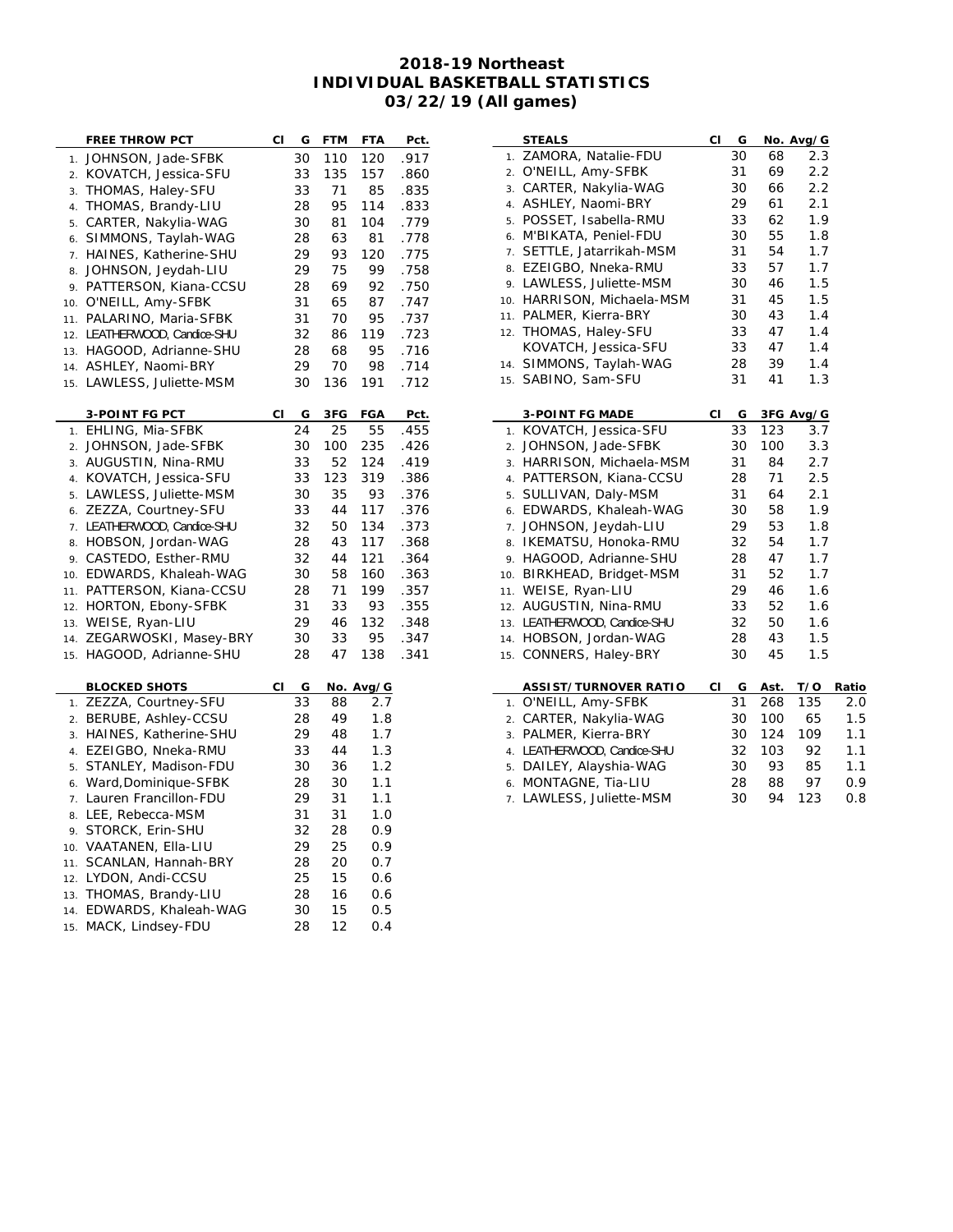$\overline{a}$ 

| <b>FREE THROW PCT</b>                    | CI | G  | <b>FTM</b> | FTA        | Pct. |
|------------------------------------------|----|----|------------|------------|------|
| JOHNSON, Jade-SFBK<br>1.                 |    | 30 | 110        | 120        | .917 |
| KOVATCH, Jessica-SFU<br>$\overline{2}$ . |    | 33 | 135        | 157        | .860 |
| THOMAS, Haley-SFU<br>3.                  |    | 33 | 71         | 85         | .835 |
| THOMAS, Brandy-LIU<br>$\overline{4}$ .   |    | 28 | 95         | 114        | .833 |
| CARTER, Nakylia-WAG<br>5.                |    | 30 | 81         | 104        | .779 |
| SIMMONS, Taylah-WAG<br>6.                |    | 28 | 63         | 81         | .778 |
| HAINES, Katherine-SHU<br>7.              |    | 29 | 93         | 120        | .775 |
| JOHNSON, Jeydah-LIU<br>8.                |    | 29 | 75         | 99         | .758 |
| PATTERSON, Kiana-CCSU<br>9.              |    | 28 | 69         | 92         | .750 |
| O'NEILL, Amy-SFBK<br>10.                 |    | 31 | 65         | 87         | .747 |
| PALARINO, Maria-SFBK<br>11.              |    | 31 | 70         | 95         | .737 |
| LEATHERWOOD, Candice-SHU<br>12.          |    | 32 | 86         | 119        | .723 |
| HAGOOD, Adrianne-SHU<br>13.              |    | 28 | 68         | 95         | .716 |
| ASHLEY, Naomi-BRY<br>14.                 |    | 29 | 70         | 98         | .714 |
| LAWLESS, Juliette-MSM<br>15.             |    | 30 | 136        | 191        | .712 |
|                                          |    |    |            |            |      |
| <b>3-POINT FG PCT</b>                    | СI | G  | 3FG        | <b>FGA</b> | Pct. |
| EHLING, Mia-SFBK<br>1.                   |    | 24 | 25         | 55         | .455 |
| JOHNSON, Jade-SFBK<br>2.                 |    | 30 | 100        | 235        | .426 |
| AUGUSTIN, Nina-RMU<br>3.                 |    | 33 | 52         | 124        | .419 |
| KOVATCH, Jessica-SFU<br>4.               |    | 33 | 123        | 319        | .386 |
| LAWLESS, Juliette-MSM<br>5.              |    | 30 | 35         | 93         | .376 |
| ZEZZA, Courtney-SFU<br>6.                |    | 33 | 44         | 117        | .376 |
| LEATHERWOOD, Candice-SHU<br>7.           |    | 32 | 50         | 134        | .373 |
| HOBSON, Jordan-WAG<br>8.                 |    | 28 | 43         | 117        | .368 |
| CASTEDO, Esther-RMU<br>9.                |    | 32 | 44         | 121        | .364 |
| EDWARDS, Khaleah-WAG<br>10.              |    | 30 | 58         | 160        | .363 |
| PATTERSON, Kiana-CCSU<br>11.             |    | 28 | 71         | 199        | .357 |
| HORTON, Ebony-SFBK<br>12.                |    | 31 | 33         | 93         | .355 |
| WEISE, Ryan-LIU<br>13.                   |    | 29 | 46         | 132        | .348 |
| ZEGARWOSKI, Masey-BRY<br>14.             |    | 30 | 33         | 95         | .347 |
| HAGOOD, Adrianne-SHU<br>15.              |    | 28 | 47         | 138        | .341 |
|                                          |    |    |            |            |      |
| <b>BLOCKED SHOTS</b>                     | СI | G  |            | No. Avg/G  |      |
| ZEZZA, Courtney-SFU<br>$\mathbf 1$ .     |    | 33 | 88         | 2.7        |      |
| BERUBE, Ashley-CCSU<br>2.                |    | 28 | 49         | 1.8        |      |
| HAINES, Katherine-SHU<br>3.              |    | 29 | 48         | 1.7        |      |
| EZEIGBO, Nneka-RMU<br>4.                 |    | 33 | 44         | 1.3        |      |
| STANLEY, Madison-FDU<br>5.               |    | 30 | 36         | 1.2        |      |
| Ward, Dominique-SFBK<br>6.               |    | 28 | 30         | 1.1        |      |
| Lauren Francillon-FDU<br>7.              |    | 29 | 31         | 1.1        |      |
| LEE, Rebecca-MSM<br>8.                   |    | 31 | 31         | 1.0        |      |
| STORCK, Erin-SHU<br>9.                   |    | 32 | 28         | 0.9        |      |
| VAATANEN, Ella-LIU<br>10.                |    | 29 | 25         | 0.9        |      |
| SCANLAN, Hannah-BRY<br>11.               |    | 28 | 20         | 0.7        |      |
| LYDON, Andi-CCSU<br>12.                  |    | 25 | 15         | 0.6        |      |
| THOMAS, Brandy-LIU<br>13.                |    | 28 | 16         | 0.6        |      |
| EDWARDS, Khaleah-WAG<br>14.              |    | 30 | 15         | 0.5        |      |
| MACK, Lindsey-FDU<br>15.                 |    | 28 | 12         | 0.4        |      |

|     | <b>STEALS</b>            | СI | G  |     | No. Avg/G |
|-----|--------------------------|----|----|-----|-----------|
| 1.  | ZAMORA, Natalie-FDU      |    | 30 | 68  | 2.3       |
| 2.  | O'NEILL, Amy-SFBK        |    | 31 | 69  | 2.2       |
| 3.  | CARTER, Nakylia-WAG      |    | 30 | 66  | 2.2       |
| 4.  | ASHLEY, Naomi-BRY        |    | 29 | 61  | 2.1       |
| 5.  | POSSET, Isabella-RMU     |    | 33 | 62  | 1.9       |
| 6.  | M'BIKATA, Peniel-FDU     |    | 30 | 55  | 1.8       |
| 7.  | SETTLE, Jatarrikah-MSM   |    | 31 | 54  | 1.7       |
| 8.  | EZEIGBO, Nneka-RMU       |    | 33 | 57  | 1.7       |
| 9.  | LAWLESS, Juliette-MSM    |    | 30 | 46  | 1.5       |
| 10. | HARRISON, Michaela-MSM   |    | 31 | 45  | 1.5       |
| 11. | PALMER, Kierra-BRY       |    | 30 | 43  | 1.4       |
| 12. | THOMAS, Haley-SFU        |    | 33 | 47  | 1.4       |
|     | KOVATCH, Jessica-SFU     |    | 33 | 47  | 1.4       |
| 14. | SIMMONS, Taylah-WAG      |    | 28 | 39  | 1.4       |
| 15. | SABINO, Sam-SFU          |    | 31 | 41  | 1.3       |
|     |                          |    |    |     |           |
|     |                          |    |    |     |           |
|     | <b>3-POINT FG MADE</b>   | СI | G  |     | 3FG Avg/G |
| 1.  | KOVATCH, Jessica-SFU     |    | 33 | 123 | 3.7       |
| 2.  | JOHNSON, Jade-SFBK       |    | 30 | 100 | 3.3       |
| 3.  | HARRISON, Michaela-MSM   |    | 31 | 84  | 2.7       |
| 4.  | PATTERSON, Kiana-CCSU    |    | 28 | 71  | 2.5       |
| 5.  | SULLIVAN, Daly-MSM       |    | 31 | 64  | 2.1       |
| 6.  | EDWARDS, Khaleah-WAG     |    | 30 | 58  | 1.9       |
| 7.  | JOHNSON, Jeydah-LIU      |    | 29 | 53  | 1.8       |
| 8.  | IKEMATSU, Honoka-RMU     |    | 32 | 54  | 1.7       |
| 9.  | HAGOOD, Adrianne-SHU     |    | 28 | 47  | 1.7       |
| 10. | BIRKHEAD, Bridget-MSM    |    | 31 | 52  | 1.7       |
| 11. | WEISE, Ryan-LIU          |    | 29 | 46  | 1.6       |
| 12. | AUGUSTIN, Nina-RMU       |    | 33 | 52  | 1.6       |
| 13. | LEATHERWOOD, Candice-SHU |    | 32 | 50  | 1.6       |
| 14. | HOBSON, Jordan-WAG       |    | 28 | 43  | 1.5       |
| 15. | CONNERS, Haley-BRY       |    | 30 | 45  | 1.5       |

| <b>ASSIST/TURNOVER RATIO</b> | СI | G  | Ast. | T/O | Ratio |
|------------------------------|----|----|------|-----|-------|
| 1. O'NEILL, Amy-SFBK         |    | 31 | 268  | 135 | 2.0   |
| 2. CARTER, Nakylia-WAG       |    | 30 | 100  | 65  | 1.5   |
| 3. PALMER, Kierra-BRY        |    | 30 | 124  | 109 | 1.1   |
| 4. LEATHERWOOD, Candice-SHU  |    | 32 | 103  | 92. | 1.1   |
| 5. DAILEY, Alayshia-WAG      |    | 30 | 93   | 85  | 1.1   |
| 6. MONTAGNE, Tia-LIU         |    | 28 | 88   | 97  | 0.9   |
| 7. LAWLESS, Juliette-MSM     |    | 30 | 94   | 123 | 0.8   |
|                              |    |    |      |     |       |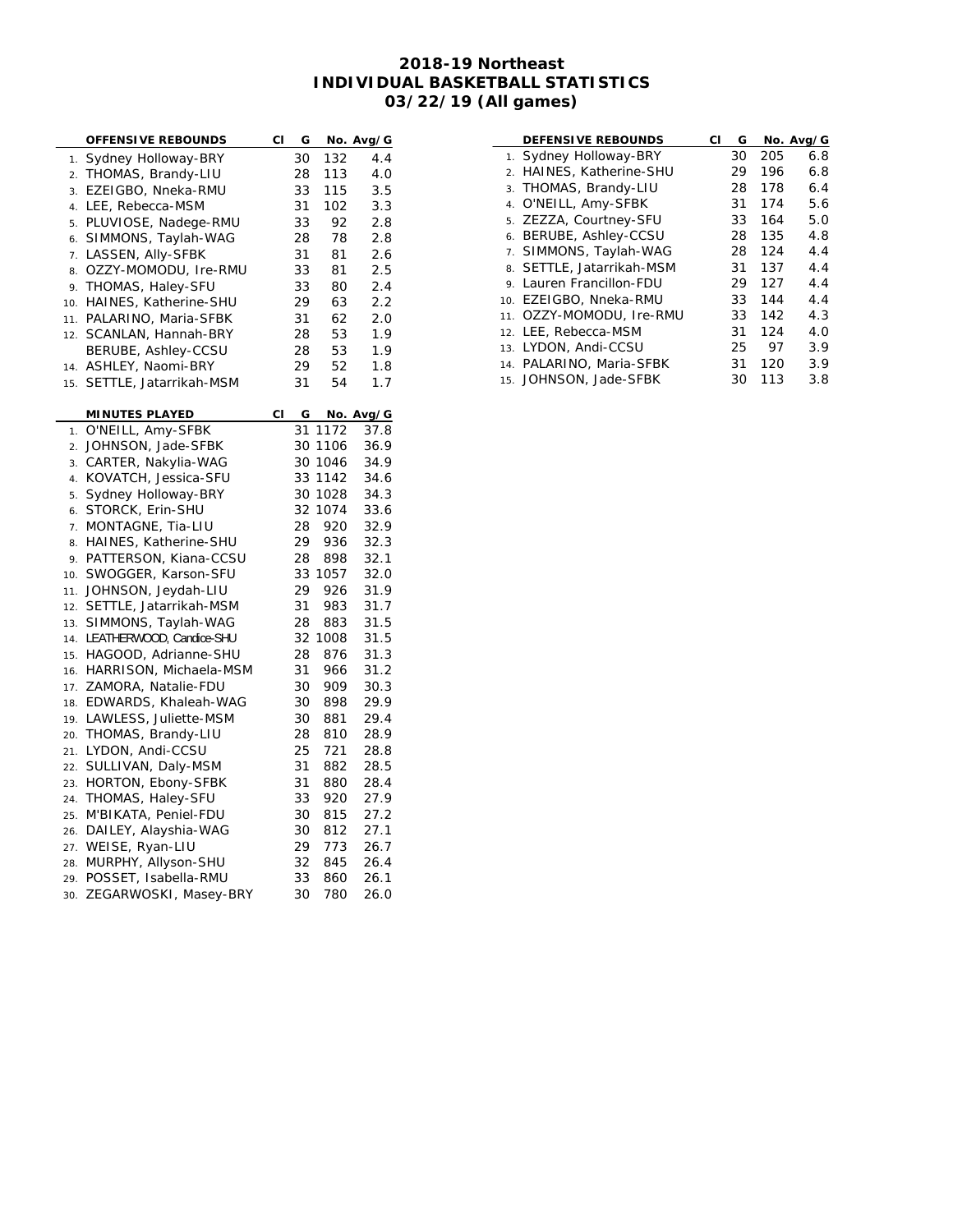| OFFENSIVE REBOUNDS                     | СI | G  |         | No. Avg/G |
|----------------------------------------|----|----|---------|-----------|
| Sydney Holloway-BRY<br>1.              |    | 30 | 132     | 4.4       |
| THOMAS, Brandy-LIU<br>$\overline{2}$ . |    | 28 | 113     | 4.0       |
| EZEIGBO, Nneka-RMU<br>3.               |    | 33 | 115     | 3.5       |
| LEE, Rebecca-MSM<br>$\overline{4}$ .   |    | 31 | 102     | 3.3       |
| PLUVIOSE, Nadege-RMU<br>5.             |    | 33 | 92      | 2.8       |
| SIMMONS, Taylah-WAG<br>6.              |    | 28 | 78      | 2.8       |
| LASSEN, Ally-SFBK<br>7.                |    | 31 | 81      | 2.6       |
| OZZY-MOMODU, Ire-RMU<br>8.             |    | 33 | 81      | 2.5       |
| THOMAS, Haley-SFU<br>9.                |    | 33 | 80      | 2.4       |
| HAINES, Katherine-SHU<br>10.           |    | 29 | 63      | 2.2       |
| PALARINO, Maria-SFBK<br>11.            |    | 31 | 62      | 2.0       |
| SCANLAN, Hannah-BRY<br>12.             |    | 28 | 53      | 1.9       |
| BERUBE, Ashley-CCSU                    |    | 28 | 53      | 1.9       |
|                                        |    | 29 | 52      | 1.8       |
| ASHLEY, Naomi-BRY<br>14.               |    |    |         |           |
| SETTLE, Jatarrikah-MSM<br>15.          |    | 31 | 54      | 1.7       |
| <b>MINUTES PLAYED</b>                  | СI | G  |         | No. Avg/G |
| O'NEILL, Amy-SFBK<br>1.                |    | 31 | 1172    | 37.8      |
| JOHNSON, Jade-SFBK<br>2.               |    |    | 30 1106 | 36.9      |
| CARTER, Nakylia-WAG<br>3.              |    |    | 30 1046 | 34.9      |
| KOVATCH, Jessica-SFU<br>4.             |    |    | 33 1142 | 34.6      |
| Sydney Holloway-BRY<br>5.              |    | 30 | 1028    | 34.3      |
| STORCK, Erin-SHU<br>6.                 |    | 32 | 1074    | 33.6      |
| MONTAGNE, Tia-LIU<br>7.                |    | 28 | 920     | 32.9      |
| HAINES, Katherine-SHU<br>8.            |    | 29 | 936     | 32.3      |
| PATTERSON, Kiana-CCSU<br>9.            |    | 28 | 898     | 32.1      |
| SWOGGER, Karson-SFU<br>10.             |    | 33 | 1057    | 32.0      |
| JOHNSON, Jeydah-LIU<br>11.             |    | 29 | 926     | 31.9      |
| SETTLE, Jatarrikah-MSM<br>12.          |    | 31 | 983     | 31.7      |
| SIMMONS, Taylah-WAG<br>13.             |    | 28 | 883     | 31.5      |
| LEATHERWOOD, Candice-SHU<br>14.        |    | 32 | 1008    | 31.5      |
| HAGOOD, Adrianne-SHU<br>15.            |    | 28 | 876     | 31.3      |
| HARRISON, Michaela-MSM<br>16.          |    | 31 | 966     | 31.2      |
| ZAMORA, Natalie-FDU<br>17.             |    | 30 | 909     | 30.3      |
| EDWARDS, Khaleah-WAG<br>18.            |    | 30 | 898     | 29.9      |
| LAWLESS, Juliette-MSM<br>19.           |    | 30 | 881     | 29.4      |
| THOMAS, Brandy-LIU<br>20.              |    | 28 | 810     | 28.9      |
| LYDON, Andi-CCSU<br>21.                |    | 25 | 721     | 28.8      |
| SULLIVAN, Daly-MSM<br>22.              |    | 31 | 882     | 28.5      |
| HORTON, Ebony-SFBK<br>23.              |    | 31 | 880     | 28.4      |
| THOMAS, Haley-SFU<br>24.               |    | 33 | 920     | 27.9      |
| M'BIKATA, Peniel-FDU<br>25.            |    | 30 | 815     | 27.2      |
| DAILEY, Alayshia-WAG<br>26.            |    | 30 | 812     | 27.1      |
| WEISE, Ryan-LIU<br>27.                 |    | 29 | 773     | 26.7      |
| MURPHY, Allyson-SHU<br>28.             |    | 32 | 845     | 26.4      |
| POSSET, Isabella-RMU<br>29.            |    | 33 | 860     | 26.1      |
| ZEGARWOSKI, Masey-BRY<br>30.           |    | 30 | 780     | 26.0      |

| <b>DEFENSIVE REBOUNDS</b>   | СI | G  |     | No. Avg/G |
|-----------------------------|----|----|-----|-----------|
| 1. Sydney Holloway-BRY      |    | 30 | 205 | 6.8       |
| 2. HAINES, Katherine-SHU    |    | 29 | 196 | 6.8       |
| 3. THOMAS, Brandy-LIU       |    | 28 | 178 | 6.4       |
| 4. O'NEILL, Amy-SFBK        |    | 31 | 174 | 5.6       |
| 5. ZEZZA, Courtney-SFU      |    | 33 | 164 | 5.0       |
| 6. BERUBE, Ashley-CCSU      |    | 28 | 135 | 4.8       |
| 7. SIMMONS, Taylah-WAG      |    | 28 | 124 | 4.4       |
| 8. SETTLE, Jatarrikah-MSM   |    | 31 | 137 | 4.4       |
| 9. Lauren Francillon-FDU    |    | 29 | 127 | 4.4       |
| 10. EZEIGBO, Nneka-RMU      |    | 33 | 144 | 4.4       |
| OZZY-MOMODU, Ire-RMU<br>11. |    | 33 | 142 | 4.3       |
| 12. LEE, Rebecca-MSM        |    | 31 | 124 | 4.0       |
| 13. LYDON, Andi-CCSU        |    | 25 | 97  | 3.9       |
| 14. PALARINO, Maria-SFBK    |    | 31 | 120 | 3.9       |
| 15. JOHNSON, Jade-SFBK      |    | 30 | 113 | 3.8       |